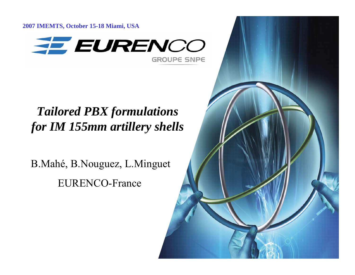**2007 IMEMTS, October 15-18 Miami, USA**



## *Tailored PBX formulations for IM 155mm artillery shells*

B.Mahé, B.Nouguez, L.Minguet EURENCO-France

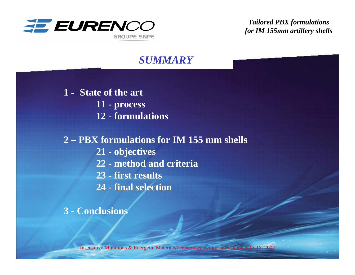

#### *SUMMARY*

**1 - State of the art 11 - process 12 - formulations** 

**2 – PBX formulations for IM 155 mm shells 21 - objectives 22 - method and criteria 23 - first results 24 - final selection**

**3 - Conclusions**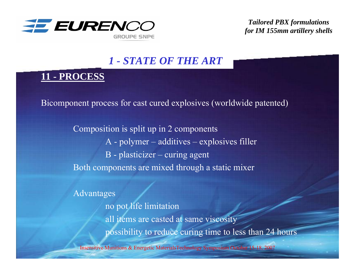

#### *1 - STATE OF THE ART*

#### **11 - PROCESS**

Bicomponent process for cast cured explosives (worldwide patented)

Composition is split up in 2 components A - polymer – additives – explosives filler B - plasticizer – curing agent Both components are mixed through a static mixer

Advantages

no pot life limitation all items are casted at same viscosity possibility to reduce curing time to less than 24 hours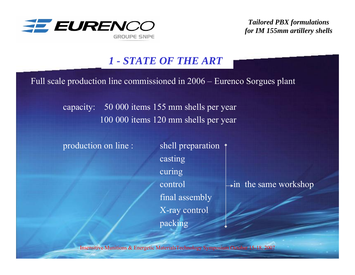

#### *1 - STATE OF THE ART*

Full scale production line commissioned in 2006 – Eurenco Sorgues plant

capacity: 50 000 items 155 mm shells per year 100 000 items 120 mm shells per year

production on line : shell preparation

casting curing controlfinal assembly X-ray control packing

 $\rightarrow$  in the same workshop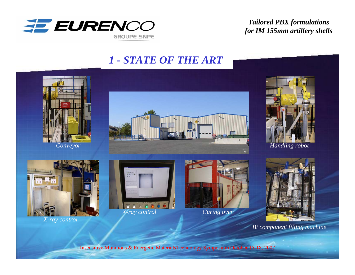

#### *1 - STATE OF THE ART*











*X-ray control*



*X-ray control*



*Curing oven*



*Bi component filling machine*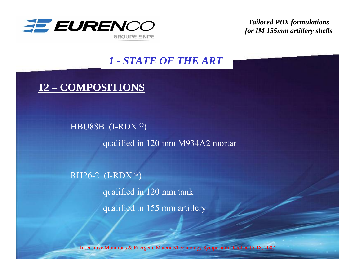

#### *1 - STATE OF THE ART*

### **12 – COMPOSITIONS**

HBU88B (I-RDX ® ) qualified in 120 mm M934A2 mortar

RH26-2 (I-RDX ® ) qualified in 120 mm tank qualified in 155 mm artillery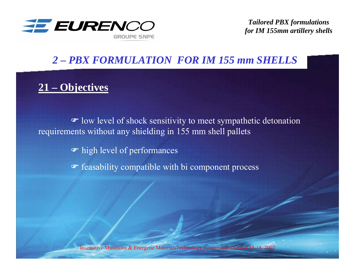

#### *2 – PBX FORMULATION FOR IM 155 mm SHELLS*

### **21 – Objectives**

• low level of shock sensitivity to meet sympathetic detonation requirements without any shielding in 155 mm shell pallets

) high level of performances

) feasability compatible with bi component process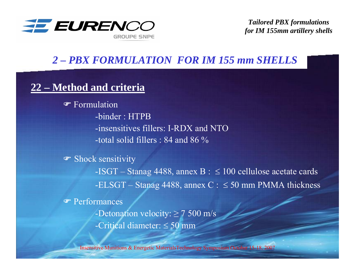

#### *2 – PBX FORMULATION FOR IM 155 mm SHELLS*

#### **22 – Method and criteria**

) Formulation -binder : HTPB-insensitives fillers: I-RDX and NTO-total solid fillers : 84 and 86  $\%$ 

<sup>T</sup> Shock sensitivity -ISGT – Stanag 4488, annex  $\rm{B}$  :  $\leq 100$  cellulose acetate cards -ELSGT – Stanag 4488, annex C : ≤ 50 mm PMMA thickness ) Performances -Detonation velocity: ≥ 7 500 m/s -Critical diameter: ≤ 50 mm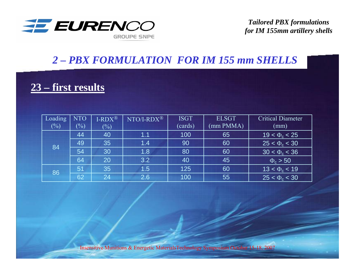

### *2 – PBX FORMULATION FOR IM 155 mm SHELLS*

### **23 – first results**

| Loading | <b>NTO</b>                 | $I-RDX^{\circledR}$ | $NTO/I-RDX^{\circledR}$ | <b>ISGT</b> | <b>ELSGT</b> | <b>Critical Diameter</b> |
|---------|----------------------------|---------------------|-------------------------|-------------|--------------|--------------------------|
| $(\%)$  | $\left(\frac{0}{0}\right)$ | $(\%)$              |                         | (cards)     | (mm PMMA)    | (mm)                     |
| 84      | 44                         | 40                  | 1.1                     | 100         | 65           | $19 < \Phi_c < 25$       |
|         | 49                         | 35                  | 1.4                     | 90          | 60           | $25 < \Phi_c < 30$       |
|         | 54                         | 30                  | 1.8                     | 80          | 60           | $30 < \Phi_c < 36$       |
|         | 64                         | 20                  | 3.2                     | 40          | 45           | $\Phi_c > 50$            |
| 86      | 51                         | 35                  | 1.5                     | 125         | 60           | $13 < \Phi_c < 19$       |
|         | 62                         | 24                  | 2.6                     | 100         | 55           | $25 < \Phi_c < 30$       |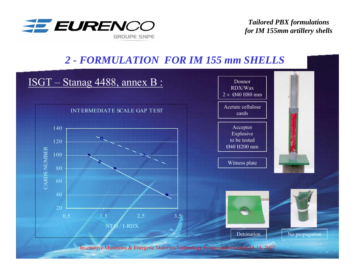



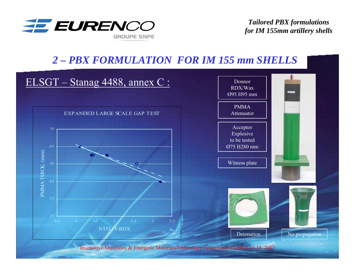

#### *2 – PBX FORMULATION FOR IM 155 mm SHELLS*

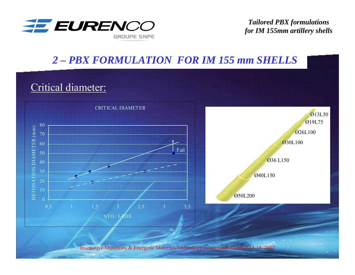

### *2 – PBX FORMULATION FOR IM 155 mm SHELLS*

### Critical diameter:

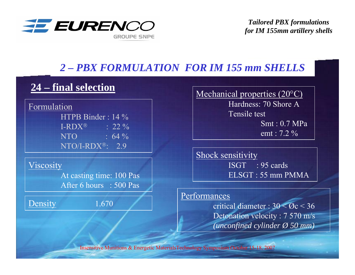

# *2 – PBX FORMULATION FOR IM 155 mm SHELLS 2 – PBX FORMULATION FOR IM 155 mm SHELLS*

#### 24 – final selection

Formulation HTPB Binder : 14 % $\text{I-RDX}^{\text{\textregistered}}$  : 22 % NTO :  $64\%$ NTO/I-RDX®: 2.9

Viscosity

At casting time: 100 Pas After 6 hours : 500 Pas

Density 1.670

Mechanical properties (20°C) Hardness: 70 Shore ATensile testSmt : 0.7 MPaemt : 7.2 %

Shock sensitivity ISGT : 95 cardsELSGT : 55 mm PMMA

#### Performances

critical diameter :  $30 < \mathcal{O}c < 36$ Detonation velocity : 7 570 m/s *(unconfined cylinder Ø 50 mm)*

Insensitive Munitions & Energetic MaterialsTechnology Symposium October 15-18, 2007 Insensitive Munitions & Energetic MaterialsTechnology Symposium October 15-18, 2007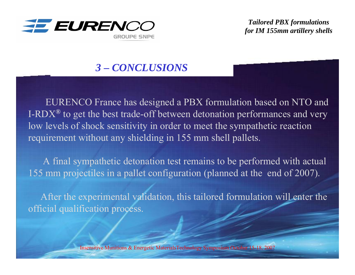

#### *2 – PBX FORMULATION FOR IM 155 mm SHELLS3 – CONCLUSIONS*

EURENCO France has designed a PBX formulation based on NTO and I-RDX*®* to get the best trade-off between detonation performances and very low levels of shock sensitivity in order to meet the sympathetic reaction requirement without any shielding in 155 mm shell pallets.

A final sympathetic detonation test remains to be performed with actual 155 mm projectiles in a pallet configuration (planned at the end of 2007).

After the experimental validation, this tailored formulation will enter the official qualification process.

Insensitive Munitions & Energetic MaterialsTechnology Symposium October 15-18, 2007 Insensitive Munitions & Energetic MaterialsTechnology Symposium October 15-18, 2007